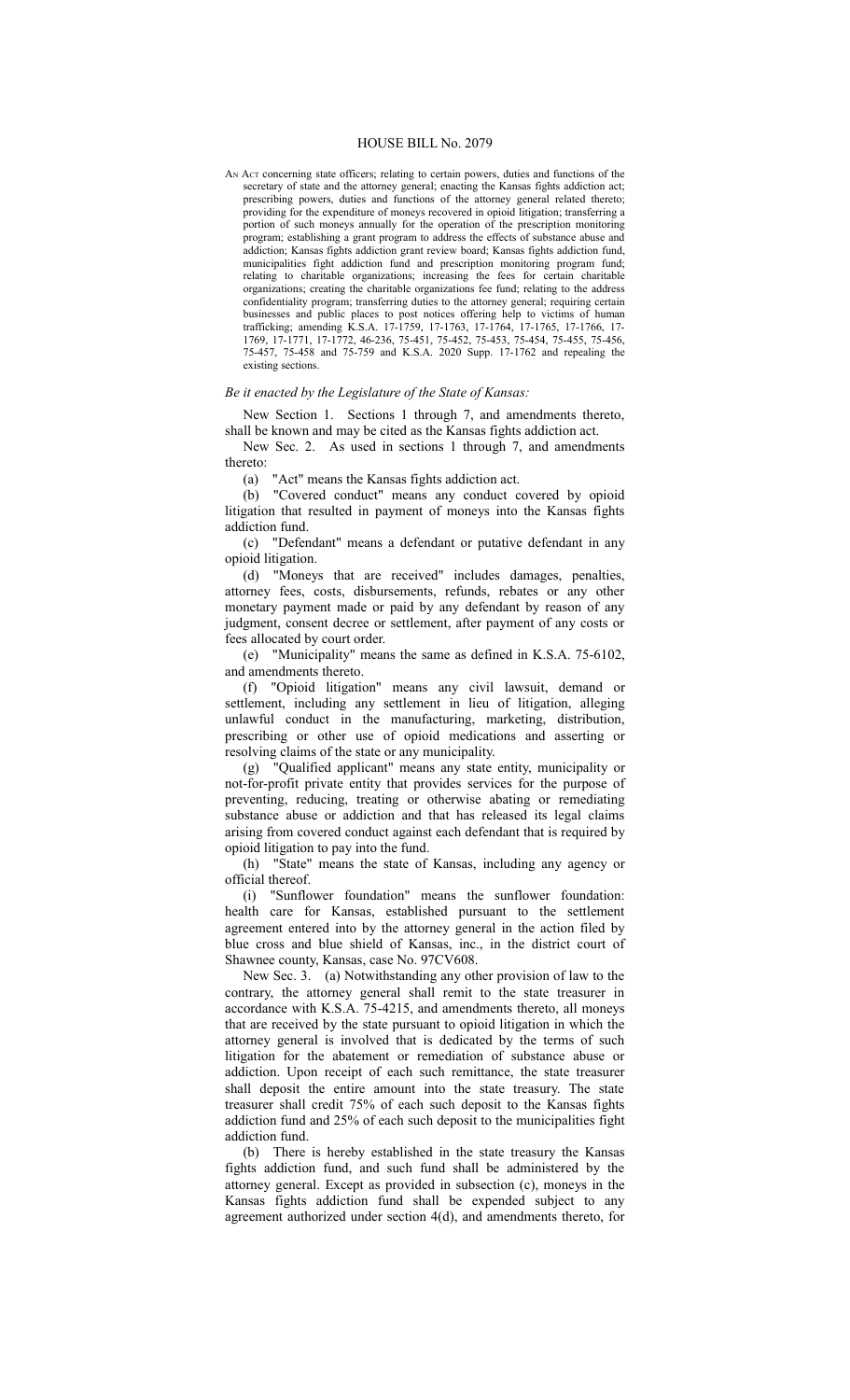#### HOUSE BILL No. 2079

AN Act concerning state officers; relating to certain powers, duties and functions of the secretary of state and the attorney general; enacting the Kansas fights addiction act; prescribing powers, duties and functions of the attorney general related thereto; providing for the expenditure of moneys recovered in opioid litigation; transferring a portion of such moneys annually for the operation of the prescription monitoring program; establishing a grant program to address the effects of substance abuse and addiction; Kansas fights addiction grant review board; Kansas fights addiction fund, municipalities fight addiction fund and prescription monitoring program fund; relating to charitable organizations; increasing the fees for certain charitable organizations; creating the charitable organizations fee fund; relating to the address confidentiality program; transferring duties to the attorney general; requiring certain businesses and public places to post notices offering help to victims of human trafficking; amending K.S.A. 17-1759, 17-1763, 17-1764, 17-1765, 17-1766, 17- 1769, 17-1771, 17-1772, 46-236, 75-451, 75-452, 75-453, 75-454, 75-455, 75-456, 75-457, 75-458 and 75-759 and K.S.A. 2020 Supp. 17-1762 and repealing the existing sections.

## *Be it enacted by the Legislature of the State of Kansas:*

New Section 1. Sections 1 through 7, and amendments thereto, shall be known and may be cited as the Kansas fights addiction act.

New Sec. 2. As used in sections 1 through 7, and amendments thereto:

(a) "Act" means the Kansas fights addiction act.

(b) "Covered conduct" means any conduct covered by opioid litigation that resulted in payment of moneys into the Kansas fights addiction fund.

(c) "Defendant" means a defendant or putative defendant in any opioid litigation.

(d) "Moneys that are received" includes damages, penalties, attorney fees, costs, disbursements, refunds, rebates or any other monetary payment made or paid by any defendant by reason of any judgment, consent decree or settlement, after payment of any costs or fees allocated by court order.

(e) "Municipality" means the same as defined in K.S.A. 75-6102, and amendments thereto.

(f) "Opioid litigation" means any civil lawsuit, demand or settlement, including any settlement in lieu of litigation, alleging unlawful conduct in the manufacturing, marketing, distribution, prescribing or other use of opioid medications and asserting or resolving claims of the state or any municipality.

(g) "Qualified applicant" means any state entity, municipality or not-for-profit private entity that provides services for the purpose of preventing, reducing, treating or otherwise abating or remediating substance abuse or addiction and that has released its legal claims arising from covered conduct against each defendant that is required by opioid litigation to pay into the fund.

(h) "State" means the state of Kansas, including any agency or official thereof.

(i) "Sunflower foundation" means the sunflower foundation: health care for Kansas, established pursuant to the settlement agreement entered into by the attorney general in the action filed by blue cross and blue shield of Kansas, inc., in the district court of Shawnee county, Kansas, case No. 97CV608.

New Sec. 3. (a) Notwithstanding any other provision of law to the contrary, the attorney general shall remit to the state treasurer in accordance with K.S.A. 75-4215, and amendments thereto, all moneys that are received by the state pursuant to opioid litigation in which the attorney general is involved that is dedicated by the terms of such litigation for the abatement or remediation of substance abuse or addiction. Upon receipt of each such remittance, the state treasurer shall deposit the entire amount into the state treasury. The state treasurer shall credit 75% of each such deposit to the Kansas fights addiction fund and 25% of each such deposit to the municipalities fight addiction fund.

(b) There is hereby established in the state treasury the Kansas fights addiction fund, and such fund shall be administered by the attorney general. Except as provided in subsection (c), moneys in the Kansas fights addiction fund shall be expended subject to any agreement authorized under section 4(d), and amendments thereto, for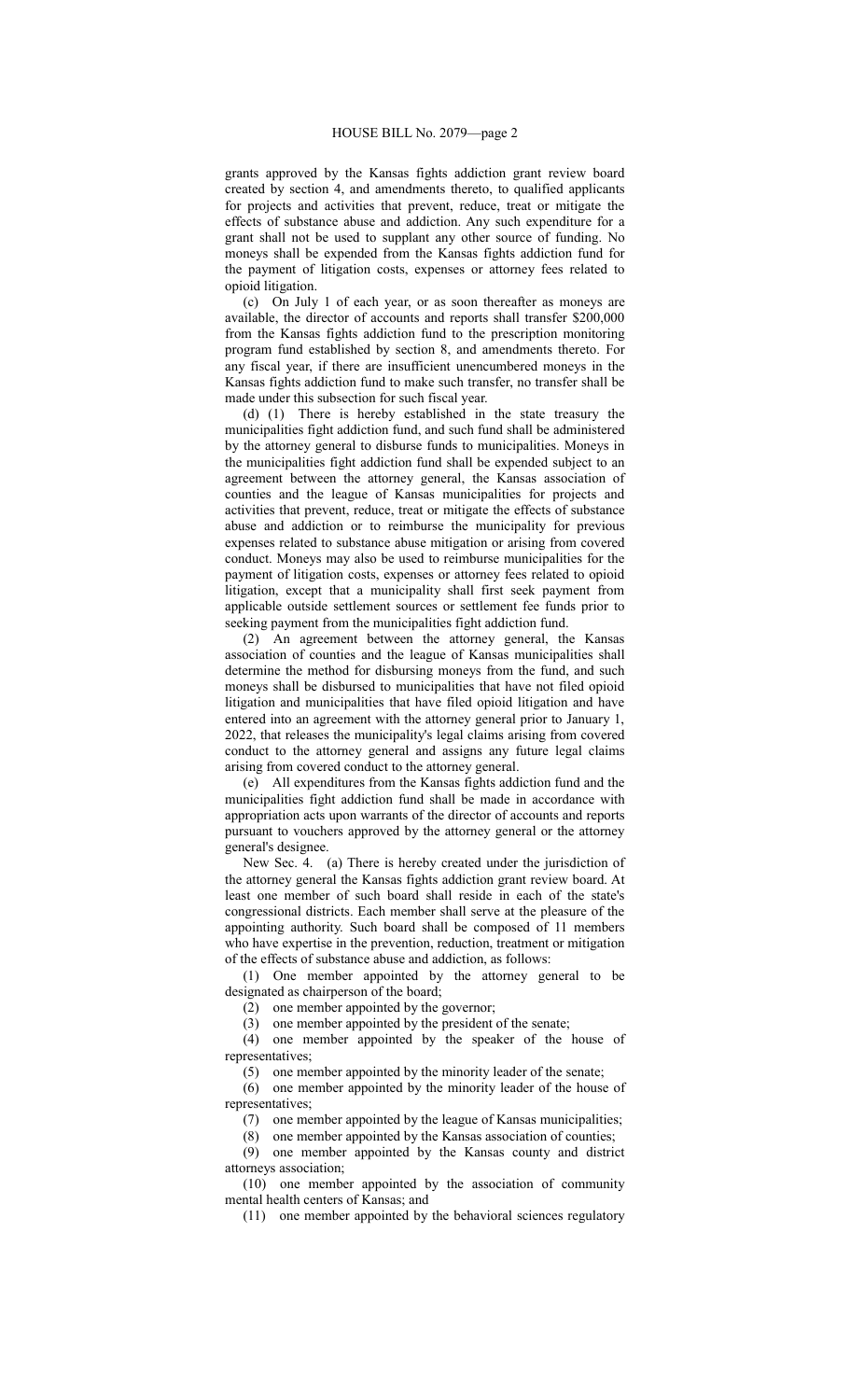grants approved by the Kansas fights addiction grant review board created by section 4, and amendments thereto, to qualified applicants for projects and activities that prevent, reduce, treat or mitigate the effects of substance abuse and addiction. Any such expenditure for a grant shall not be used to supplant any other source of funding. No moneys shall be expended from the Kansas fights addiction fund for the payment of litigation costs, expenses or attorney fees related to opioid litigation.

(c) On July 1 of each year, or as soon thereafter as moneys are available, the director of accounts and reports shall transfer \$200,000 from the Kansas fights addiction fund to the prescription monitoring program fund established by section 8, and amendments thereto. For any fiscal year, if there are insufficient unencumbered moneys in the Kansas fights addiction fund to make such transfer, no transfer shall be made under this subsection for such fiscal year.

(d) (1) There is hereby established in the state treasury the municipalities fight addiction fund, and such fund shall be administered by the attorney general to disburse funds to municipalities. Moneys in the municipalities fight addiction fund shall be expended subject to an agreement between the attorney general, the Kansas association of counties and the league of Kansas municipalities for projects and activities that prevent, reduce, treat or mitigate the effects of substance abuse and addiction or to reimburse the municipality for previous expenses related to substance abuse mitigation or arising from covered conduct. Moneys may also be used to reimburse municipalities for the payment of litigation costs, expenses or attorney fees related to opioid litigation, except that a municipality shall first seek payment from applicable outside settlement sources or settlement fee funds prior to seeking payment from the municipalities fight addiction fund.

(2) An agreement between the attorney general, the Kansas association of counties and the league of Kansas municipalities shall determine the method for disbursing moneys from the fund, and such moneys shall be disbursed to municipalities that have not filed opioid litigation and municipalities that have filed opioid litigation and have entered into an agreement with the attorney general prior to January 1, 2022, that releases the municipality's legal claims arising from covered conduct to the attorney general and assigns any future legal claims arising from covered conduct to the attorney general.

(e) All expenditures from the Kansas fights addiction fund and the municipalities fight addiction fund shall be made in accordance with appropriation acts upon warrants of the director of accounts and reports pursuant to vouchers approved by the attorney general or the attorney general's designee.

New Sec. 4. (a) There is hereby created under the jurisdiction of the attorney general the Kansas fights addiction grant review board. At least one member of such board shall reside in each of the state's congressional districts. Each member shall serve at the pleasure of the appointing authority. Such board shall be composed of 11 members who have expertise in the prevention, reduction, treatment or mitigation of the effects of substance abuse and addiction, as follows:

(1) One member appointed by the attorney general to be designated as chairperson of the board;

(2) one member appointed by the governor;

(3) one member appointed by the president of the senate;

(4) one member appointed by the speaker of the house of representatives;

(5) one member appointed by the minority leader of the senate;

(6) one member appointed by the minority leader of the house of representatives;

(7) one member appointed by the league of Kansas municipalities;

(8) one member appointed by the Kansas association of counties;

(9) one member appointed by the Kansas county and district attorneys association;

(10) one member appointed by the association of community mental health centers of Kansas; and

(11) one member appointed by the behavioral sciences regulatory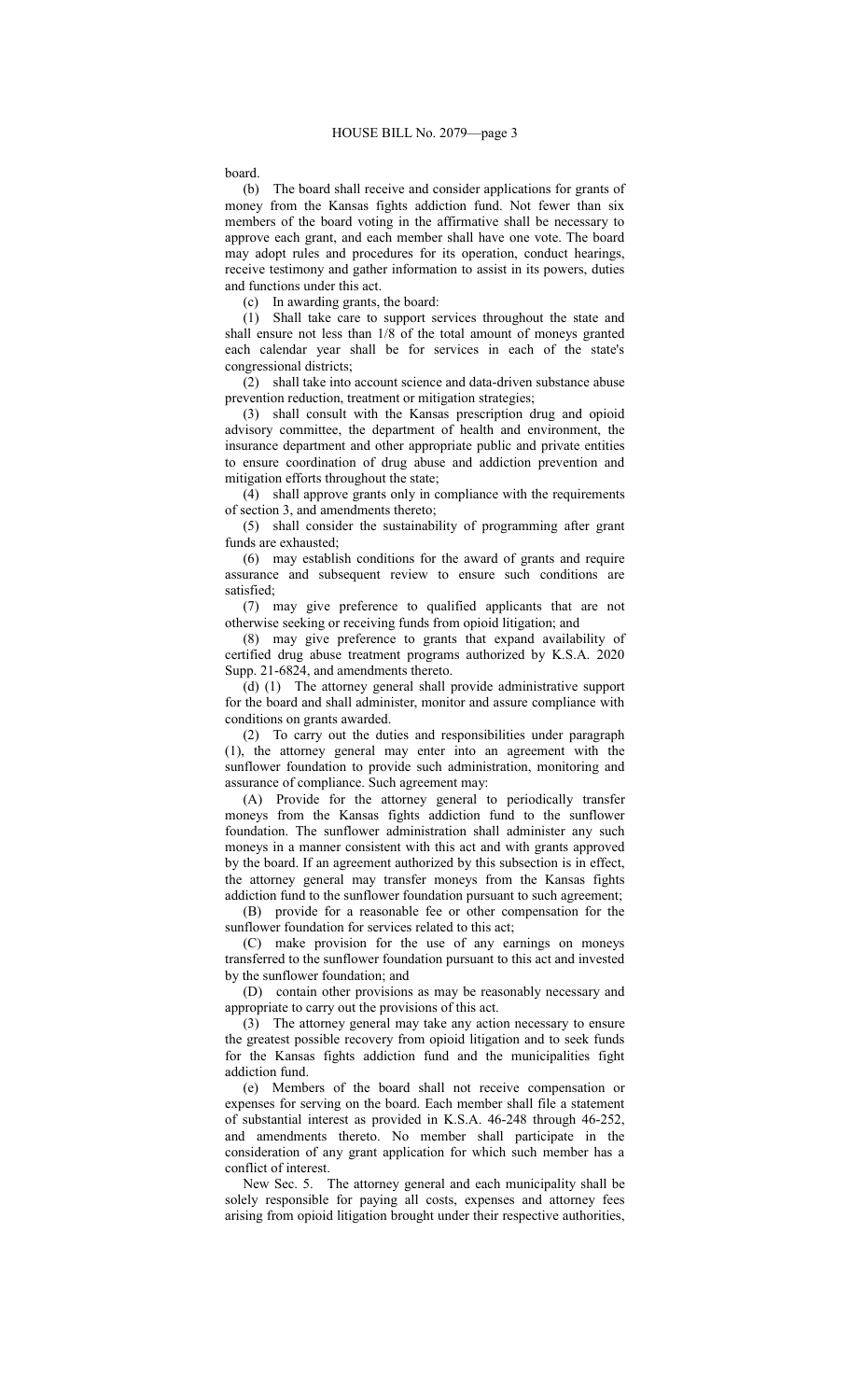### board.

(b) The board shall receive and consider applications for grants of money from the Kansas fights addiction fund. Not fewer than six members of the board voting in the affirmative shall be necessary to approve each grant, and each member shall have one vote. The board may adopt rules and procedures for its operation, conduct hearings, receive testimony and gather information to assist in its powers, duties and functions under this act.

(c) In awarding grants, the board:

(1) Shall take care to support services throughout the state and shall ensure not less than 1/8 of the total amount of moneys granted each calendar year shall be for services in each of the state's congressional districts;

(2) shall take into account science and data-driven substance abuse prevention reduction, treatment or mitigation strategies;

(3) shall consult with the Kansas prescription drug and opioid advisory committee, the department of health and environment, the insurance department and other appropriate public and private entities to ensure coordination of drug abuse and addiction prevention and mitigation efforts throughout the state;

(4) shall approve grants only in compliance with the requirements of section 3, and amendments thereto;

(5) shall consider the sustainability of programming after grant funds are exhausted;

(6) may establish conditions for the award of grants and require assurance and subsequent review to ensure such conditions are satisfied;

(7) may give preference to qualified applicants that are not otherwise seeking or receiving funds from opioid litigation; and

(8) may give preference to grants that expand availability of certified drug abuse treatment programs authorized by K.S.A. 2020 Supp. 21-6824, and amendments thereto.

(d) (1) The attorney general shall provide administrative support for the board and shall administer, monitor and assure compliance with conditions on grants awarded.

(2) To carry out the duties and responsibilities under paragraph (1), the attorney general may enter into an agreement with the sunflower foundation to provide such administration, monitoring and assurance of compliance. Such agreement may:

(A) Provide for the attorney general to periodically transfer moneys from the Kansas fights addiction fund to the sunflower foundation. The sunflower administration shall administer any such moneys in a manner consistent with this act and with grants approved by the board. If an agreement authorized by this subsection is in effect, the attorney general may transfer moneys from the Kansas fights addiction fund to the sunflower foundation pursuant to such agreement;

(B) provide for a reasonable fee or other compensation for the sunflower foundation for services related to this act;

(C) make provision for the use of any earnings on moneys transferred to the sunflower foundation pursuant to this act and invested by the sunflower foundation; and

(D) contain other provisions as may be reasonably necessary and appropriate to carry out the provisions of this act.

(3) The attorney general may take any action necessary to ensure the greatest possible recovery from opioid litigation and to seek funds for the Kansas fights addiction fund and the municipalities fight addiction fund.

(e) Members of the board shall not receive compensation or expenses for serving on the board. Each member shall file a statement of substantial interest as provided in K.S.A. 46-248 through 46-252, and amendments thereto. No member shall participate in the consideration of any grant application for which such member has a conflict of interest.

New Sec. 5. The attorney general and each municipality shall be solely responsible for paying all costs, expenses and attorney fees arising from opioid litigation brought under their respective authorities,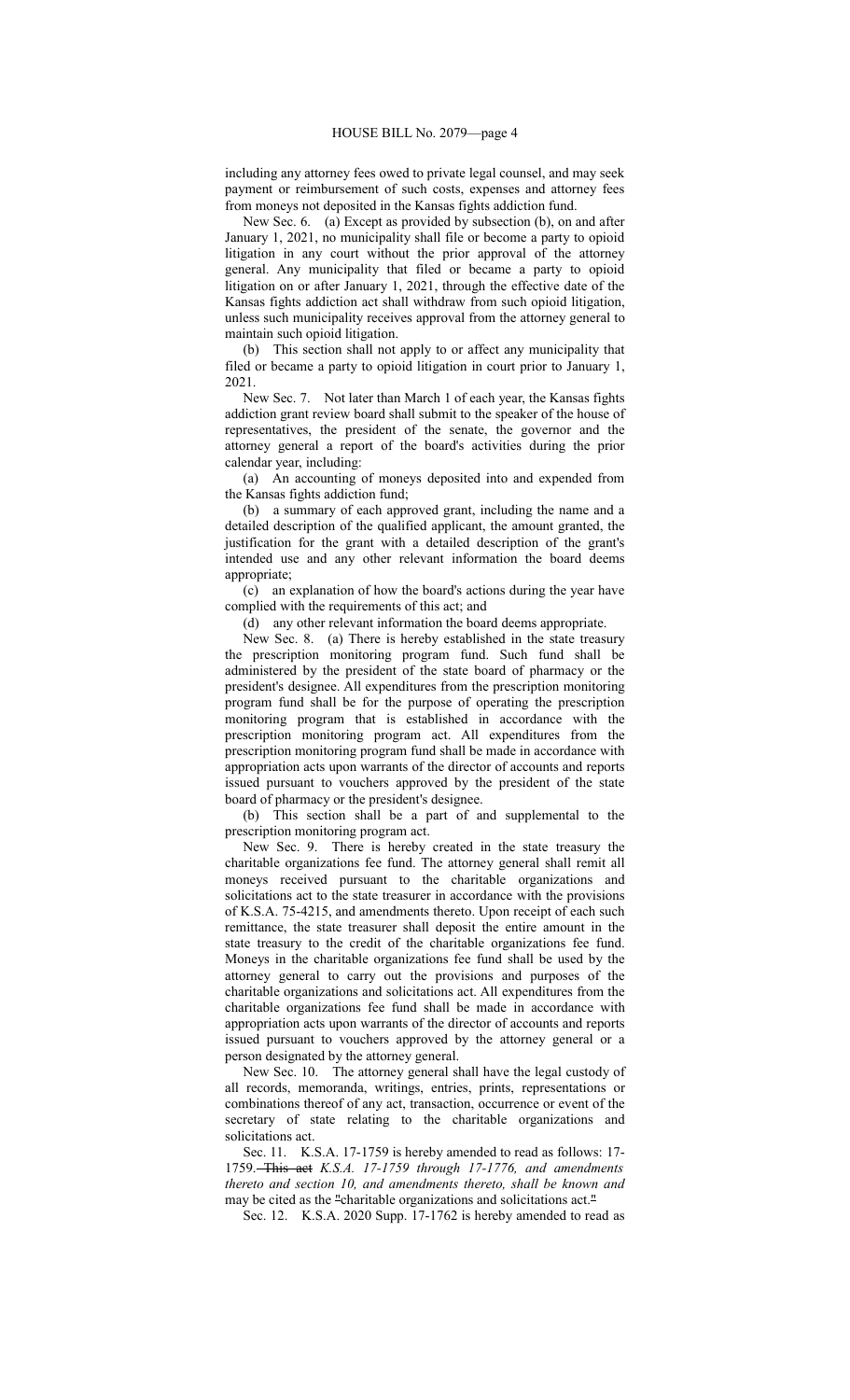including any attorney fees owed to private legal counsel, and may seek payment or reimbursement of such costs, expenses and attorney fees from moneys not deposited in the Kansas fights addiction fund.

New Sec. 6. (a) Except as provided by subsection (b), on and after January 1, 2021, no municipality shall file or become a party to opioid litigation in any court without the prior approval of the attorney general. Any municipality that filed or became a party to opioid litigation on or after January 1, 2021, through the effective date of the Kansas fights addiction act shall withdraw from such opioid litigation, unless such municipality receives approval from the attorney general to maintain such opioid litigation.

(b) This section shall not apply to or affect any municipality that filed or became a party to opioid litigation in court prior to January 1, 2021.

New Sec. 7. Not later than March 1 of each year, the Kansas fights addiction grant review board shall submit to the speaker of the house of representatives, the president of the senate, the governor and the attorney general a report of the board's activities during the prior calendar year, including:

(a) An accounting of moneys deposited into and expended from the Kansas fights addiction fund;

(b) a summary of each approved grant, including the name and a detailed description of the qualified applicant, the amount granted, the justification for the grant with a detailed description of the grant's intended use and any other relevant information the board deems appropriate;

(c) an explanation of how the board's actions during the year have complied with the requirements of this act; and

(d) any other relevant information the board deems appropriate.

New Sec. 8. (a) There is hereby established in the state treasury the prescription monitoring program fund. Such fund shall be administered by the president of the state board of pharmacy or the president's designee. All expenditures from the prescription monitoring program fund shall be for the purpose of operating the prescription monitoring program that is established in accordance with the prescription monitoring program act. All expenditures from the prescription monitoring program fund shall be made in accordance with appropriation acts upon warrants of the director of accounts and reports issued pursuant to vouchers approved by the president of the state board of pharmacy or the president's designee.

(b) This section shall be a part of and supplemental to the prescription monitoring program act.

New Sec. 9. There is hereby created in the state treasury the charitable organizations fee fund. The attorney general shall remit all moneys received pursuant to the charitable organizations and solicitations act to the state treasurer in accordance with the provisions of K.S.A. 75-4215, and amendments thereto. Upon receipt of each such remittance, the state treasurer shall deposit the entire amount in the state treasury to the credit of the charitable organizations fee fund. Moneys in the charitable organizations fee fund shall be used by the attorney general to carry out the provisions and purposes of the charitable organizations and solicitations act. All expenditures from the charitable organizations fee fund shall be made in accordance with appropriation acts upon warrants of the director of accounts and reports issued pursuant to vouchers approved by the attorney general or a person designated by the attorney general.

New Sec. 10. The attorney general shall have the legal custody of all records, memoranda, writings, entries, prints, representations or combinations thereof of any act, transaction, occurrence or event of the secretary of state relating to the charitable organizations and solicitations act.

Sec. 11. K.S.A. 17-1759 is hereby amended to read as follows: 17- 1759. This act *K.S.A. 17-1759 through 17-1776, and amendments thereto and section 10, and amendments thereto, shall be known and* may be cited as the "charitable organizations and solicitations act."

Sec. 12. K.S.A. 2020 Supp. 17-1762 is hereby amended to read as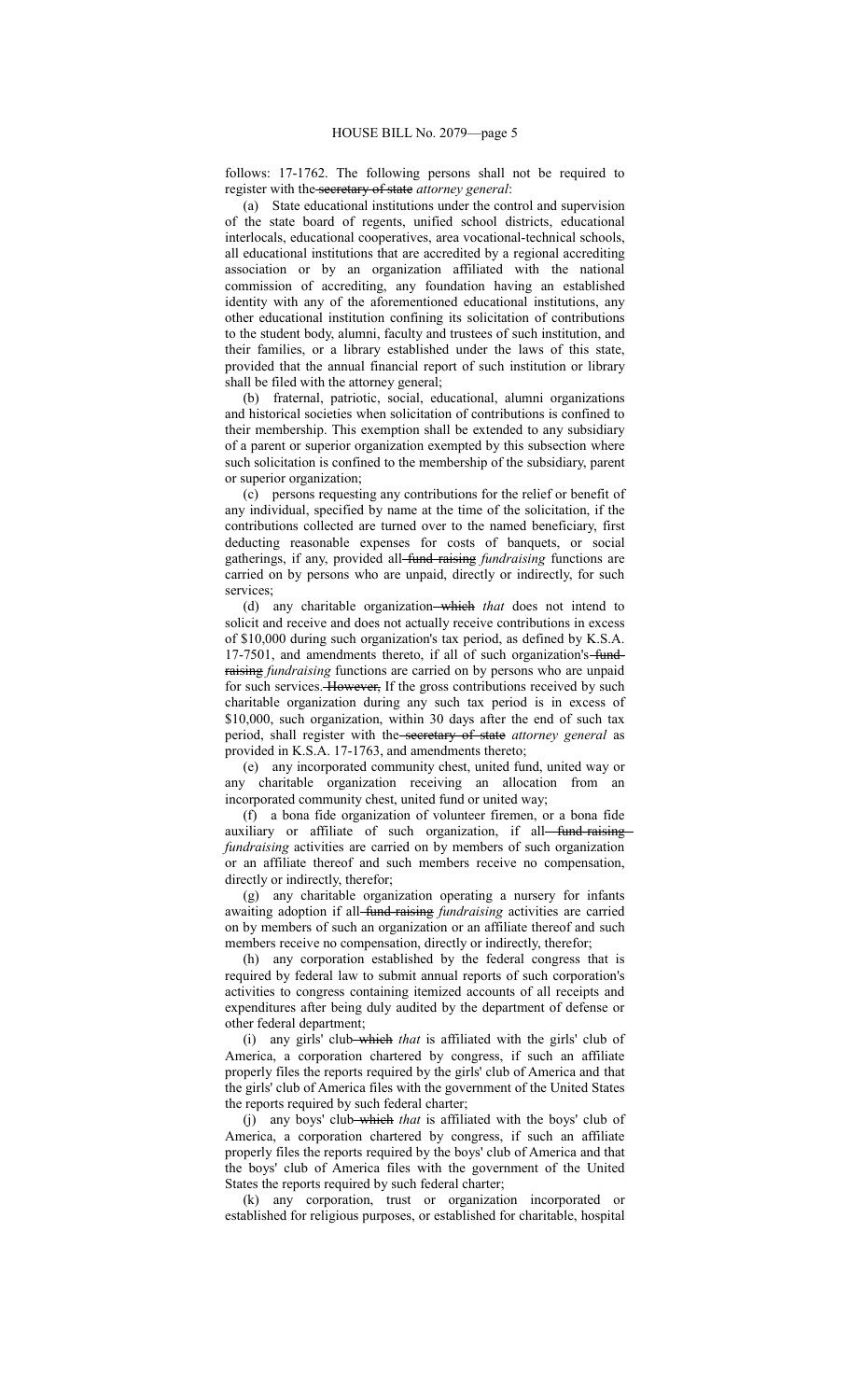follows: 17-1762. The following persons shall not be required to register with the secretary of state *attorney general*:

(a) State educational institutions under the control and supervision of the state board of regents, unified school districts, educational interlocals, educational cooperatives, area vocational-technical schools, all educational institutions that are accredited by a regional accrediting association or by an organization affiliated with the national commission of accrediting, any foundation having an established identity with any of the aforementioned educational institutions, any other educational institution confining its solicitation of contributions to the student body, alumni, faculty and trustees of such institution, and their families, or a library established under the laws of this state, provided that the annual financial report of such institution or library shall be filed with the attorney general;

(b) fraternal, patriotic, social, educational, alumni organizations and historical societies when solicitation of contributions is confined to their membership. This exemption shall be extended to any subsidiary of a parent or superior organization exempted by this subsection where such solicitation is confined to the membership of the subsidiary, parent or superior organization;

(c) persons requesting any contributions for the relief or benefit of any individual, specified by name at the time of the solicitation, if the contributions collected are turned over to the named beneficiary, first deducting reasonable expenses for costs of banquets, or social gatherings, if any, provided all fund raising *fundraising* functions are carried on by persons who are unpaid, directly or indirectly, for such services;

(d) any charitable organization which *that* does not intend to solicit and receive and does not actually receive contributions in excess of \$10,000 during such organization's tax period, as defined by K.S.A. 17-7501, and amendments thereto, if all of such organization's fundraising *fundraising* functions are carried on by persons who are unpaid for such services. However, If the gross contributions received by such charitable organization during any such tax period is in excess of \$10,000, such organization, within 30 days after the end of such tax period, shall register with the secretary of state *attorney general* as provided in K.S.A. 17-1763, and amendments thereto;

(e) any incorporated community chest, united fund, united way or any charitable organization receiving an allocation from an incorporated community chest, united fund or united way;

(f) a bona fide organization of volunteer firemen, or a bona fide auxiliary or affiliate of such organization, if all-fund-raising *fundraising* activities are carried on by members of such organization or an affiliate thereof and such members receive no compensation, directly or indirectly, therefor;

(g) any charitable organization operating a nursery for infants awaiting adoption if all-fund-raising *fundraising* activities are carried on by members of such an organization or an affiliate thereof and such members receive no compensation, directly or indirectly, therefor;

(h) any corporation established by the federal congress that is required by federal law to submit annual reports of such corporation's activities to congress containing itemized accounts of all receipts and expenditures after being duly audited by the department of defense or other federal department;

(i) any girls' club which *that* is affiliated with the girls' club of America, a corporation chartered by congress, if such an affiliate properly files the reports required by the girls' club of America and that the girls' club of America files with the government of the United States the reports required by such federal charter;

(j) any boys' club which *that* is affiliated with the boys' club of America, a corporation chartered by congress, if such an affiliate properly files the reports required by the boys' club of America and that the boys' club of America files with the government of the United States the reports required by such federal charter;

(k) any corporation, trust or organization incorporated or established for religious purposes, or established for charitable, hospital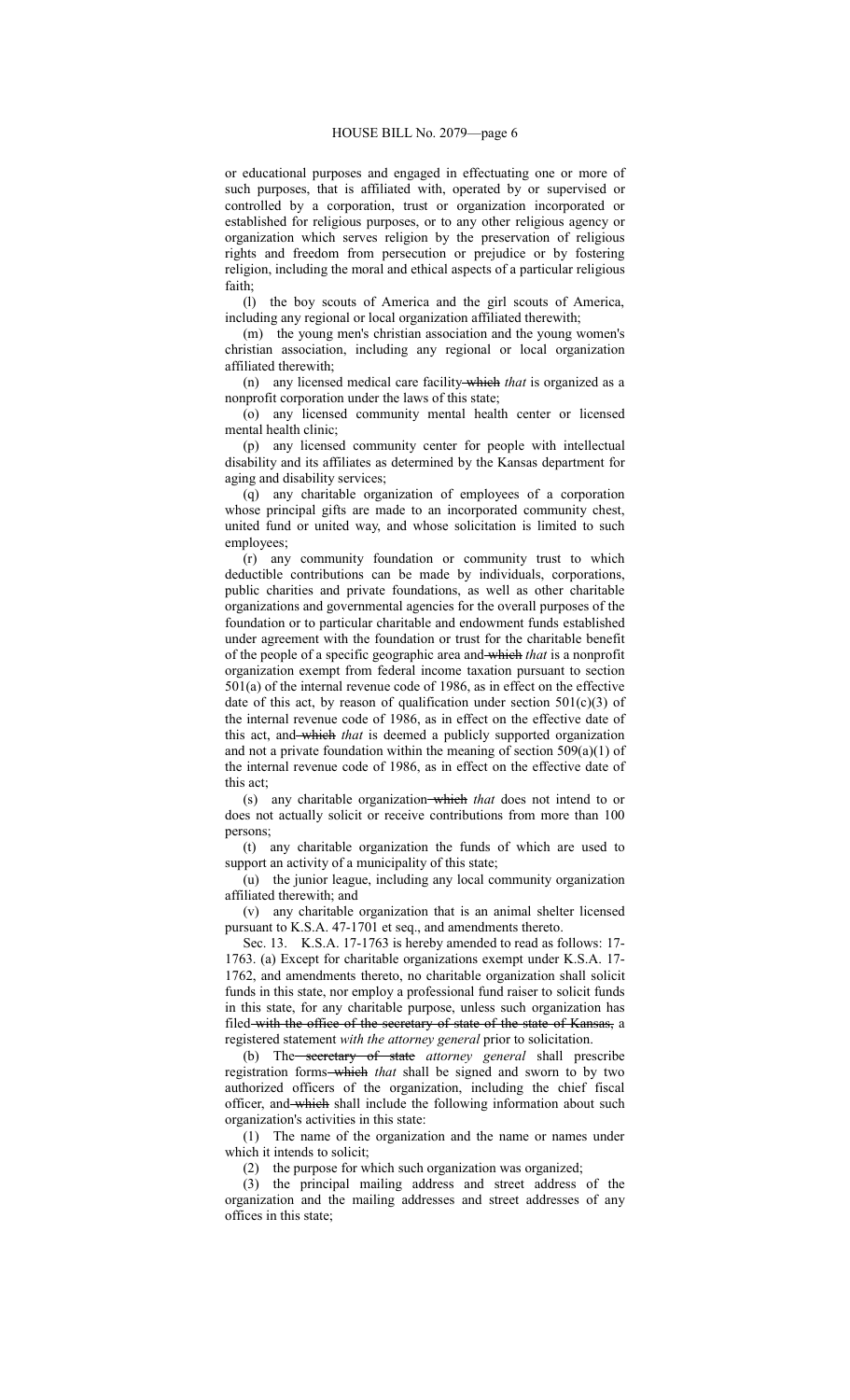or educational purposes and engaged in effectuating one or more of such purposes, that is affiliated with, operated by or supervised or controlled by a corporation, trust or organization incorporated or established for religious purposes, or to any other religious agency or organization which serves religion by the preservation of religious rights and freedom from persecution or prejudice or by fostering religion, including the moral and ethical aspects of a particular religious faith;

(l) the boy scouts of America and the girl scouts of America, including any regional or local organization affiliated therewith;

(m) the young men's christian association and the young women's christian association, including any regional or local organization affiliated therewith;

(n) any licensed medical care facility which *that* is organized as a nonprofit corporation under the laws of this state;

(o) any licensed community mental health center or licensed mental health clinic;

(p) any licensed community center for people with intellectual disability and its affiliates as determined by the Kansas department for aging and disability services;

(q) any charitable organization of employees of a corporation whose principal gifts are made to an incorporated community chest, united fund or united way, and whose solicitation is limited to such employees;

(r) any community foundation or community trust to which deductible contributions can be made by individuals, corporations, public charities and private foundations, as well as other charitable organizations and governmental agencies for the overall purposes of the foundation or to particular charitable and endowment funds established under agreement with the foundation or trust for the charitable benefit of the people of a specific geographic area and which *that* is a nonprofit organization exempt from federal income taxation pursuant to section 501(a) of the internal revenue code of 1986, as in effect on the effective date of this act, by reason of qualification under section  $501(c)(3)$  of the internal revenue code of 1986, as in effect on the effective date of this act, and which *that* is deemed a publicly supported organization and not a private foundation within the meaning of section 509(a)(1) of the internal revenue code of 1986, as in effect on the effective date of this act;

(s) any charitable organization which *that* does not intend to or does not actually solicit or receive contributions from more than 100 persons;

(t) any charitable organization the funds of which are used to support an activity of a municipality of this state;

(u) the junior league, including any local community organization affiliated therewith; and

(v) any charitable organization that is an animal shelter licensed pursuant to K.S.A. 47-1701 et seq., and amendments thereto.

Sec. 13. K.S.A. 17-1763 is hereby amended to read as follows: 17- 1763. (a) Except for charitable organizations exempt under K.S.A. 17- 1762, and amendments thereto, no charitable organization shall solicit funds in this state, nor employ a professional fund raiser to solicit funds in this state, for any charitable purpose, unless such organization has filed-with the office of the secretary of state of the state of Kansas, a registered statement *with the attorney general* prior to solicitation.

(b) The secretary of state *attorney general* shall prescribe registration forms which *that* shall be signed and sworn to by two authorized officers of the organization, including the chief fiscal officer, and which shall include the following information about such organization's activities in this state:

(1) The name of the organization and the name or names under which it intends to solicit;

(2) the purpose for which such organization was organized;

(3) the principal mailing address and street address of the organization and the mailing addresses and street addresses of any offices in this state;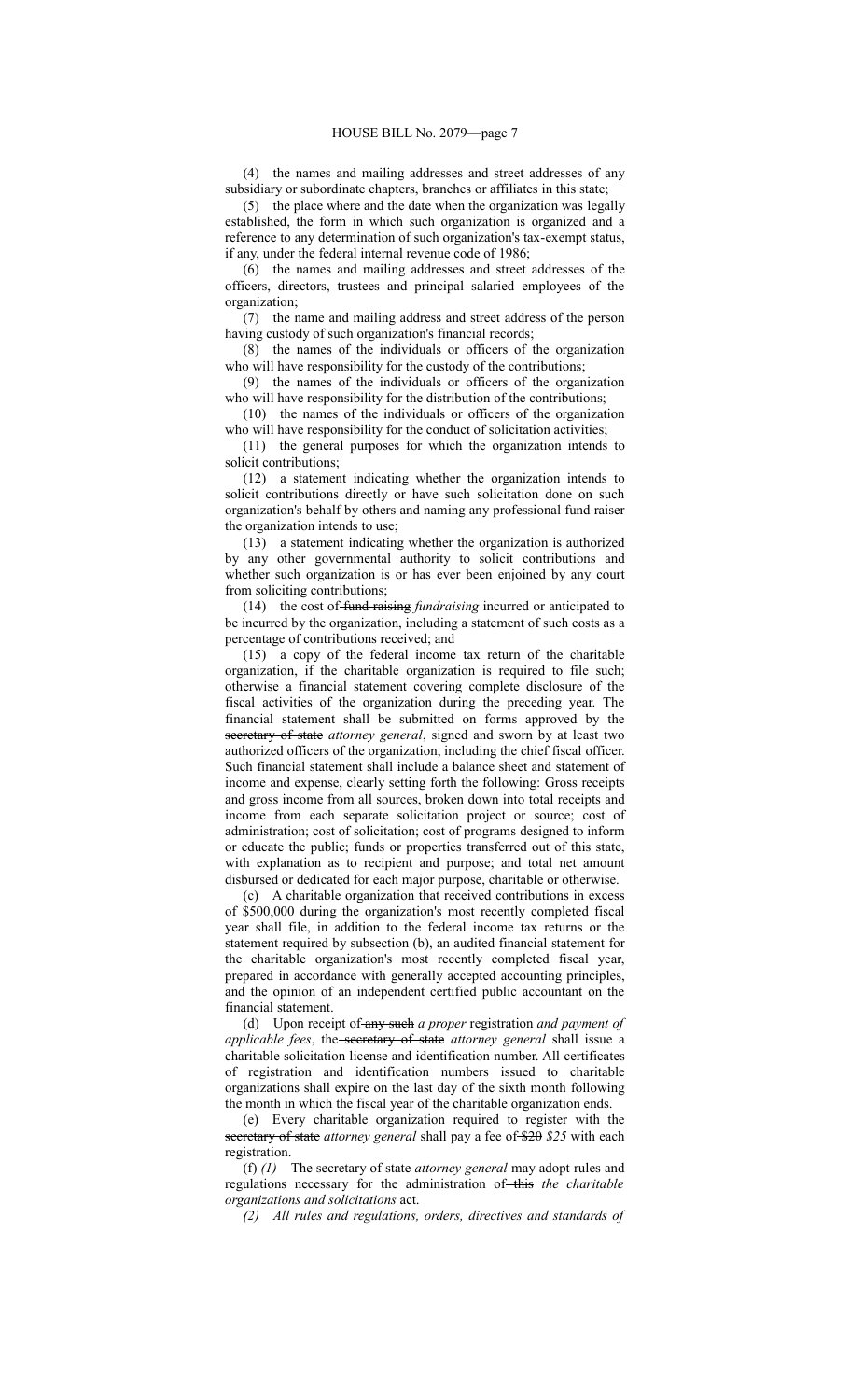(4) the names and mailing addresses and street addresses of any subsidiary or subordinate chapters, branches or affiliates in this state;

(5) the place where and the date when the organization was legally established, the form in which such organization is organized and a reference to any determination of such organization's tax-exempt status, if any, under the federal internal revenue code of 1986;

(6) the names and mailing addresses and street addresses of the officers, directors, trustees and principal salaried employees of the organization;

(7) the name and mailing address and street address of the person having custody of such organization's financial records;

(8) the names of the individuals or officers of the organization who will have responsibility for the custody of the contributions;

(9) the names of the individuals or officers of the organization who will have responsibility for the distribution of the contributions;

(10) the names of the individuals or officers of the organization who will have responsibility for the conduct of solicitation activities;

(11) the general purposes for which the organization intends to solicit contributions;

(12) a statement indicating whether the organization intends to solicit contributions directly or have such solicitation done on such organization's behalf by others and naming any professional fund raiser the organization intends to use;

(13) a statement indicating whether the organization is authorized by any other governmental authority to solicit contributions and whether such organization is or has ever been enjoined by any court from soliciting contributions;

(14) the cost of fund raising *fundraising* incurred or anticipated to be incurred by the organization, including a statement of such costs as a percentage of contributions received; and

(15) a copy of the federal income tax return of the charitable organization, if the charitable organization is required to file such; otherwise a financial statement covering complete disclosure of the fiscal activities of the organization during the preceding year. The financial statement shall be submitted on forms approved by the secretary of state *attorney general*, signed and sworn by at least two authorized officers of the organization, including the chief fiscal officer. Such financial statement shall include a balance sheet and statement of income and expense, clearly setting forth the following: Gross receipts and gross income from all sources, broken down into total receipts and income from each separate solicitation project or source; cost of administration; cost of solicitation; cost of programs designed to inform or educate the public; funds or properties transferred out of this state, with explanation as to recipient and purpose; and total net amount disbursed or dedicated for each major purpose, charitable or otherwise.

(c) A charitable organization that received contributions in excess of \$500,000 during the organization's most recently completed fiscal year shall file, in addition to the federal income tax returns or the statement required by subsection (b), an audited financial statement for the charitable organization's most recently completed fiscal year, prepared in accordance with generally accepted accounting principles, and the opinion of an independent certified public accountant on the financial statement.

(d) Upon receipt of any such *a proper* registration *and payment of applicable fees*, the secretary of state *attorney general* shall issue a charitable solicitation license and identification number. All certificates of registration and identification numbers issued to charitable organizations shall expire on the last day of the sixth month following the month in which the fiscal year of the charitable organization ends.

(e) Every charitable organization required to register with the secretary of state *attorney general* shall pay a fee of \$20 \$25 with each registration.

(f) *(1)* The secretary of state *attorney general* may adopt rules and regulations necessary for the administration of this the charitable *organizations and solicitations* act.

*(2) All rules and regulations, orders, directives and standards of*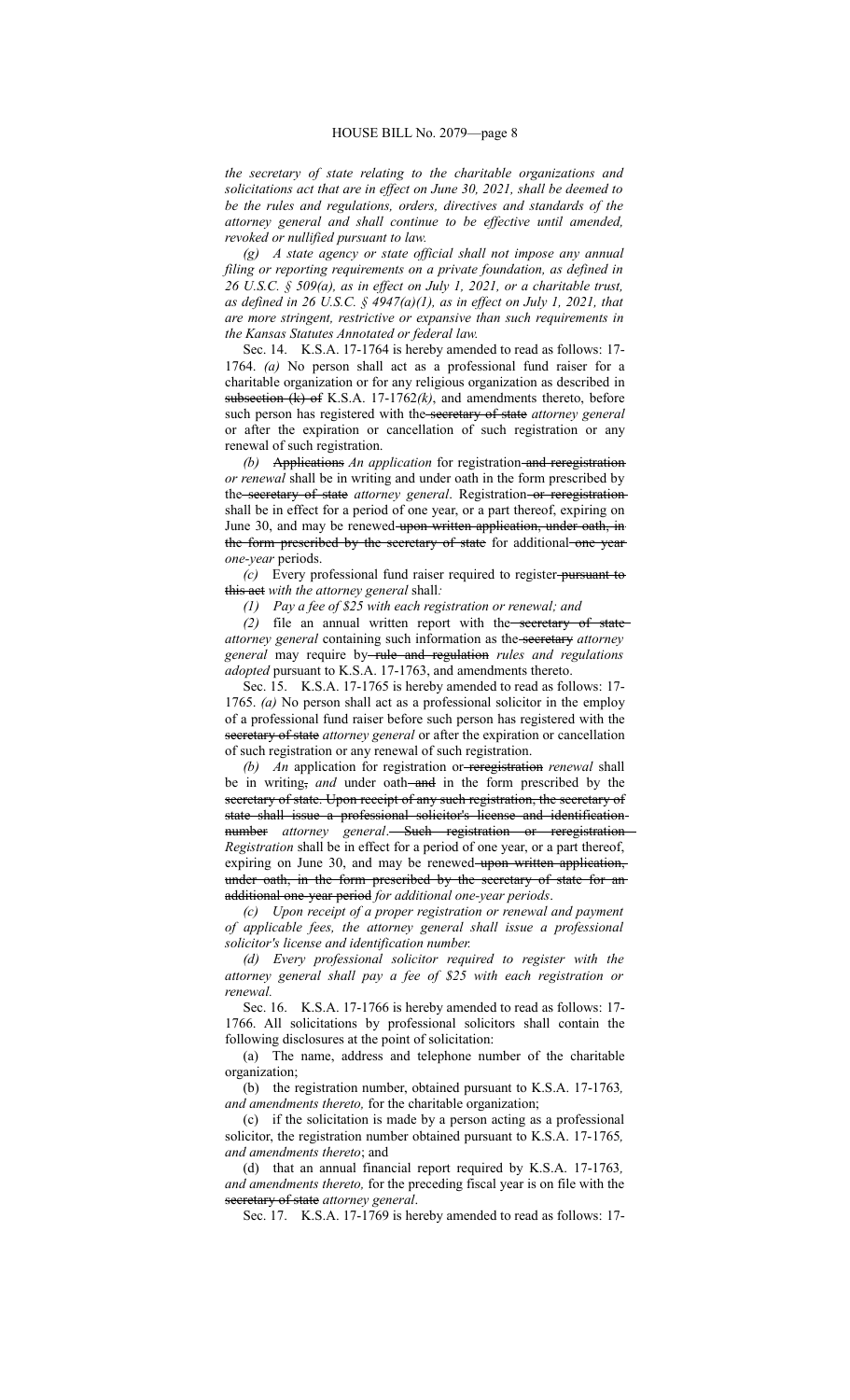*the secretary of state relating to the charitable organizations and solicitations act that are in effect on June 30, 2021, shall be deemed to be the rules and regulations, orders, directives and standards of the attorney general and shall continue to be effective until amended, revoked or nullified pursuant to law.*

*(g) A state agency or state official shall not impose any annual filing or reporting requirements on a private foundation, as defined in 26 U.S.C. § 509(a), as in effect on July 1, 2021, or a charitable trust, as defined in 26 U.S.C. § 4947(a)(1), as in effect on July 1, 2021, that are more stringent, restrictive or expansive than such requirements in the Kansas Statutes Annotated or federal law.*

Sec. 14. K.S.A. 17-1764 is hereby amended to read as follows: 17- 1764. *(a)* No person shall act as a professional fund raiser for a charitable organization or for any religious organization as described in subsection (k) of K.S.A. 17-1762*(k)*, and amendments thereto, before such person has registered with the secretary of state *attorney general* or after the expiration or cancellation of such registration or any renewal of such registration.

*(b)* Applications *An application* for registration and reregistration *or renewal* shall be in writing and under oath in the form prescribed by the secretary of state *attorney general*. Registration or reregistration shall be in effect for a period of one year, or a part thereof, expiring on June 30, and may be renewed upon written application, under oath, in the form prescribed by the secretary of state for additional one year *one-year* periods.

*(c)* Every professional fund raiser required to register pursuant to this act *with the attorney general* shall*:*

*(1) Pay a fee of \$25 with each registration or renewal; and*

*(2)* file an annual written report with the secretary of state *attorney general* containing such information as the secretary *attorney* general may require by-rule and regulation rules and regulations *adopted* pursuant to K.S.A. 17-1763, and amendments thereto.

Sec. 15. K.S.A. 17-1765 is hereby amended to read as follows: 17- 1765. *(a)* No person shall act as a professional solicitor in the employ of a professional fund raiser before such person has registered with the secretary of state *attorney general* or after the expiration or cancellation of such registration or any renewal of such registration.

*(b) An* application for registration or reregistration *renewal* shall be in writing, and under oath-and in the form prescribed by the secretary of state. Upon receipt of any such registration, the secretary of state shall issue a professional solicitor's license and identification number *attorney general*. Such registration or reregistration *Registration* shall be in effect for a period of one year, or a part thereof, expiring on June 30, and may be renewed upon written application, under oath, in the form prescribed by the secretary of state for an additional one-year period *for additional one-year periods*.

*(c) Upon receipt of a proper registration or renewal and payment of applicable fees, the attorney general shall issue a professional solicitor's license and identification number.*

*(d) Every professional solicitor required to register with the attorney general shall pay a fee of \$25 with each registration or renewal.*

Sec. 16. K.S.A. 17-1766 is hereby amended to read as follows: 17- 1766. All solicitations by professional solicitors shall contain the following disclosures at the point of solicitation:

(a) The name, address and telephone number of the charitable organization;

(b) the registration number, obtained pursuant to K.S.A. 17-1763*, and amendments thereto,* for the charitable organization;

(c) if the solicitation is made by a person acting as a professional solicitor, the registration number obtained pursuant to K.S.A. 17-1765*, and amendments thereto*; and

(d) that an annual financial report required by K.S.A. 17-1763*, and amendments thereto,* for the preceding fiscal year is on file with the secretary of state *attorney general*.

Sec. 17. K.S.A. 17-1769 is hereby amended to read as follows: 17-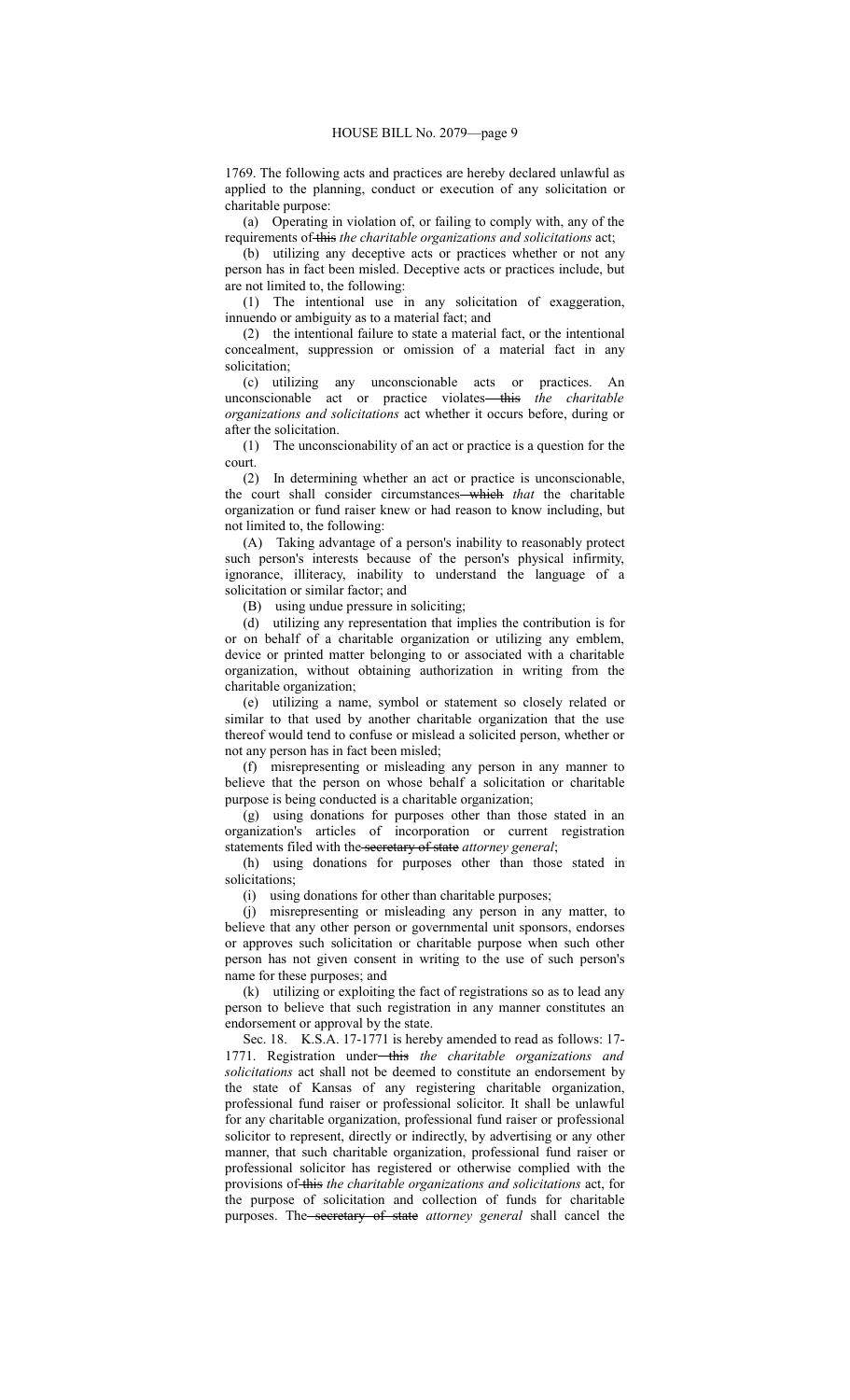1769. The following acts and practices are hereby declared unlawful as applied to the planning, conduct or execution of any solicitation or charitable purpose:

(a) Operating in violation of, or failing to comply with, any of the requirements of this *the charitable organizations and solicitations* act;

(b) utilizing any deceptive acts or practices whether or not any person has in fact been misled. Deceptive acts or practices include, but are not limited to, the following:

(1) The intentional use in any solicitation of exaggeration, innuendo or ambiguity as to a material fact; and

(2) the intentional failure to state a material fact, or the intentional concealment, suppression or omission of a material fact in any solicitation;

(c) utilizing any unconscionable acts or practices. An unconscionable act or practice violates—this the charitable *organizations and solicitations* act whether it occurs before, during or after the solicitation.

(1) The unconscionability of an act or practice is a question for the court.

(2) In determining whether an act or practice is unconscionable, the court shall consider circumstances which *that* the charitable organization or fund raiser knew or had reason to know including, but not limited to, the following:

(A) Taking advantage of a person's inability to reasonably protect such person's interests because of the person's physical infirmity, ignorance, illiteracy, inability to understand the language of a solicitation or similar factor; and

(B) using undue pressure in soliciting;

(d) utilizing any representation that implies the contribution is for or on behalf of a charitable organization or utilizing any emblem, device or printed matter belonging to or associated with a charitable organization, without obtaining authorization in writing from the charitable organization;

(e) utilizing a name, symbol or statement so closely related or similar to that used by another charitable organization that the use thereof would tend to confuse or mislead a solicited person, whether or not any person has in fact been misled;

(f) misrepresenting or misleading any person in any manner to believe that the person on whose behalf a solicitation or charitable purpose is being conducted is a charitable organization;

(g) using donations for purposes other than those stated in an organization's articles of incorporation or current registration statements filed with the secretary of state *attorney general*;

(h) using donations for purposes other than those stated in solicitations;

(i) using donations for other than charitable purposes;

(j) misrepresenting or misleading any person in any matter, to believe that any other person or governmental unit sponsors, endorses or approves such solicitation or charitable purpose when such other person has not given consent in writing to the use of such person's name for these purposes; and

(k) utilizing or exploiting the fact of registrations so as to lead any person to believe that such registration in any manner constitutes an endorsement or approval by the state.

Sec. 18. K.S.A. 17-1771 is hereby amended to read as follows: 17- 1771. Registration under-this the charitable organizations and *solicitations* act shall not be deemed to constitute an endorsement by the state of Kansas of any registering charitable organization, professional fund raiser or professional solicitor. It shall be unlawful for any charitable organization, professional fund raiser or professional solicitor to represent, directly or indirectly, by advertising or any other manner, that such charitable organization, professional fund raiser or professional solicitor has registered or otherwise complied with the provisions of this *the charitable organizations and solicitations* act, for the purpose of solicitation and collection of funds for charitable purposes. The secretary of state *attorney general* shall cancel the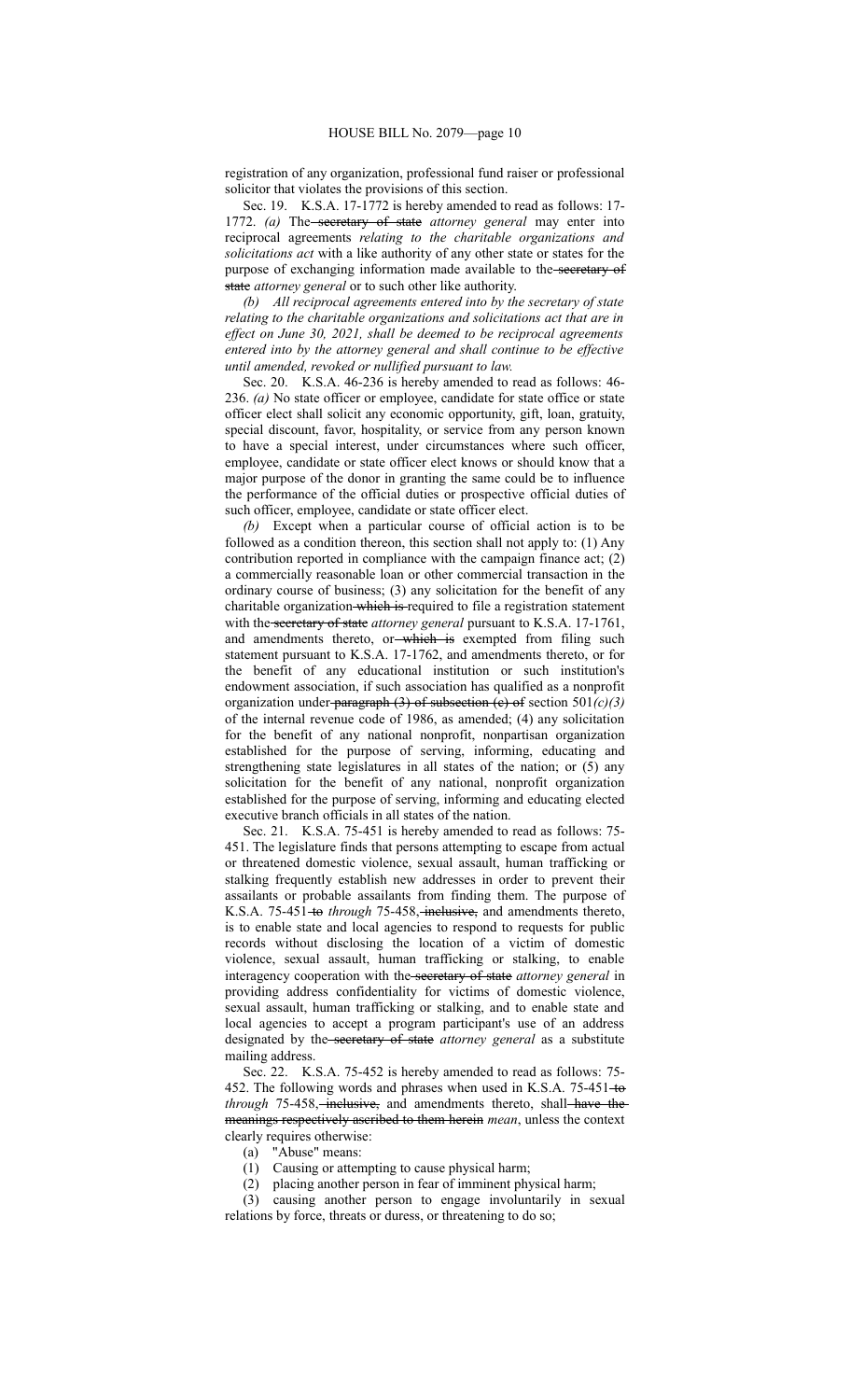registration of any organization, professional fund raiser or professional solicitor that violates the provisions of this section.

Sec. 19. K.S.A. 17-1772 is hereby amended to read as follows: 17- 1772. *(a)* The secretary of state *attorney* general may enter into reciprocal agreements *relating to the charitable organizations and solicitations act* with a like authority of any other state or states for the purpose of exchanging information made available to the secretary of state *attorney general* or to such other like authority.

*(b) All reciprocal agreements entered into by the secretary of state relating to the charitable organizations and solicitations act that are in effect on June 30, 2021, shall be deemed to be reciprocal agreements entered into by the attorney general and shall continue to be effective until amended, revoked or nullified pursuant to law.*

Sec. 20. K.S.A. 46-236 is hereby amended to read as follows: 46- 236. *(a)* No state officer or employee, candidate for state office or state officer elect shall solicit any economic opportunity, gift, loan, gratuity, special discount, favor, hospitality, or service from any person known to have a special interest, under circumstances where such officer, employee, candidate or state officer elect knows or should know that a major purpose of the donor in granting the same could be to influence the performance of the official duties or prospective official duties of such officer, employee, candidate or state officer elect.

*(b)* Except when a particular course of official action is to be followed as a condition thereon, this section shall not apply to: (1) Any contribution reported in compliance with the campaign finance act; (2) a commercially reasonable loan or other commercial transaction in the ordinary course of business; (3) any solicitation for the benefit of any charitable organization which is required to file a registration statement with the secretary of state *attorney general* pursuant to K.S.A. 17-1761, and amendments thereto, or-which is exempted from filing such statement pursuant to K.S.A. 17-1762, and amendments thereto, or for the benefit of any educational institution or such institution's endowment association, if such association has qualified as a nonprofit organization under paragraph (3) of subsection (c) of section 501*(c)(3)* of the internal revenue code of 1986, as amended; (4) any solicitation for the benefit of any national nonprofit, nonpartisan organization established for the purpose of serving, informing, educating and strengthening state legislatures in all states of the nation; or (5) any solicitation for the benefit of any national, nonprofit organization established for the purpose of serving, informing and educating elected executive branch officials in all states of the nation.

Sec. 21. K.S.A. 75-451 is hereby amended to read as follows: 75- 451. The legislature finds that persons attempting to escape from actual or threatened domestic violence, sexual assault, human trafficking or stalking frequently establish new addresses in order to prevent their assailants or probable assailants from finding them. The purpose of K.S.A. 75-451-to *through* 75-458, inclusive, and amendments thereto, is to enable state and local agencies to respond to requests for public records without disclosing the location of a victim of domestic violence, sexual assault, human trafficking or stalking, to enable interagency cooperation with the secretary of state *attorney general* in providing address confidentiality for victims of domestic violence, sexual assault, human trafficking or stalking, and to enable state and local agencies to accept a program participant's use of an address designated by the secretary of state *attorney general* as a substitute mailing address.

Sec. 22. K.S.A. 75-452 is hereby amended to read as follows: 75- 452. The following words and phrases when used in K.S.A. 75-451-to *through* 75-458, *inclusive*, and amendments thereto, shall have the meanings respectively ascribed to them herein *mean*, unless the context clearly requires otherwise:

(a) "Abuse" means:

- (1) Causing or attempting to cause physical harm;
- (2) placing another person in fear of imminent physical harm;

(3) causing another person to engage involuntarily in sexual relations by force, threats or duress, or threatening to do so;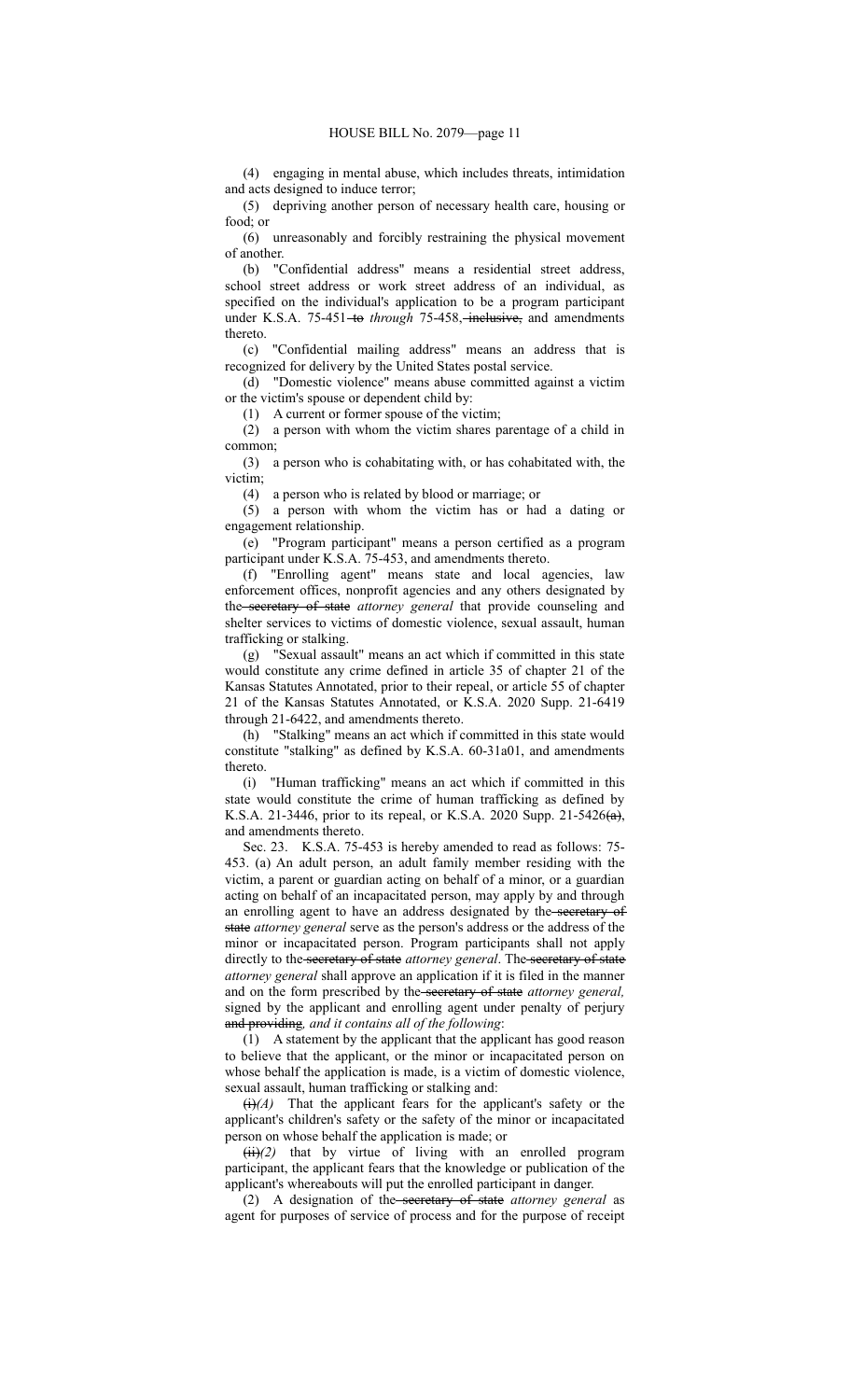(4) engaging in mental abuse, which includes threats, intimidation and acts designed to induce terror;

(5) depriving another person of necessary health care, housing or food; or

(6) unreasonably and forcibly restraining the physical movement of another.

(b) "Confidential address" means a residential street address, school street address or work street address of an individual, as specified on the individual's application to be a program participant under K.S.A. 75-451-to *through* 75-458, inclusive, and amendments thereto.

(c) "Confidential mailing address" means an address that is recognized for delivery by the United States postal service.

(d) "Domestic violence" means abuse committed against a victim or the victim's spouse or dependent child by:

(1) A current or former spouse of the victim;

(2) a person with whom the victim shares parentage of a child in common;

(3) a person who is cohabitating with, or has cohabitated with, the victim;

(4) a person who is related by blood or marriage; or

(5) a person with whom the victim has or had a dating or engagement relationship.

(e) "Program participant" means a person certified as a program participant under K.S.A. 75-453, and amendments thereto.

(f) "Enrolling agent" means state and local agencies, law enforcement offices, nonprofit agencies and any others designated by the secretary of state *attorney general* that provide counseling and shelter services to victims of domestic violence, sexual assault, human trafficking or stalking.

(g) "Sexual assault" means an act which if committed in this state would constitute any crime defined in article 35 of chapter 21 of the Kansas Statutes Annotated, prior to their repeal, or article 55 of chapter 21 of the Kansas Statutes Annotated, or K.S.A. 2020 Supp. 21-6419 through 21-6422, and amendments thereto.

(h) "Stalking" means an act which if committed in this state would constitute "stalking" as defined by K.S.A. 60-31a01, and amendments thereto.

(i) "Human trafficking" means an act which if committed in this state would constitute the crime of human trafficking as defined by K.S.A. 21-3446, prior to its repeal, or K.S.A. 2020 Supp. 21-5426(a), and amendments thereto.

Sec. 23. K.S.A. 75-453 is hereby amended to read as follows: 75- 453. (a) An adult person, an adult family member residing with the victim, a parent or guardian acting on behalf of a minor, or a guardian acting on behalf of an incapacitated person, may apply by and through an enrolling agent to have an address designated by the secretary of state *attorney general* serve as the person's address or the address of the minor or incapacitated person. Program participants shall not apply directly to the secretary of state *attorney general*. The secretary of state *attorney general* shall approve an application if it is filed in the manner and on the form prescribed by the secretary of state *attorney general,* signed by the applicant and enrolling agent under penalty of perjury and providing*, and it contains all of the following*:

(1) A statement by the applicant that the applicant has good reason to believe that the applicant, or the minor or incapacitated person on whose behalf the application is made, is a victim of domestic violence, sexual assault, human trafficking or stalking and:

 $\leftrightarrow$   $(A)$  That the applicant fears for the applicant's safety or the applicant's children's safety or the safety of the minor or incapacitated person on whose behalf the application is made; or

 $(ii)(2)$  that by virtue of living with an enrolled program participant, the applicant fears that the knowledge or publication of the applicant's whereabouts will put the enrolled participant in danger.

(2) A designation of the secretary of state *attorney general* as agent for purposes of service of process and for the purpose of receipt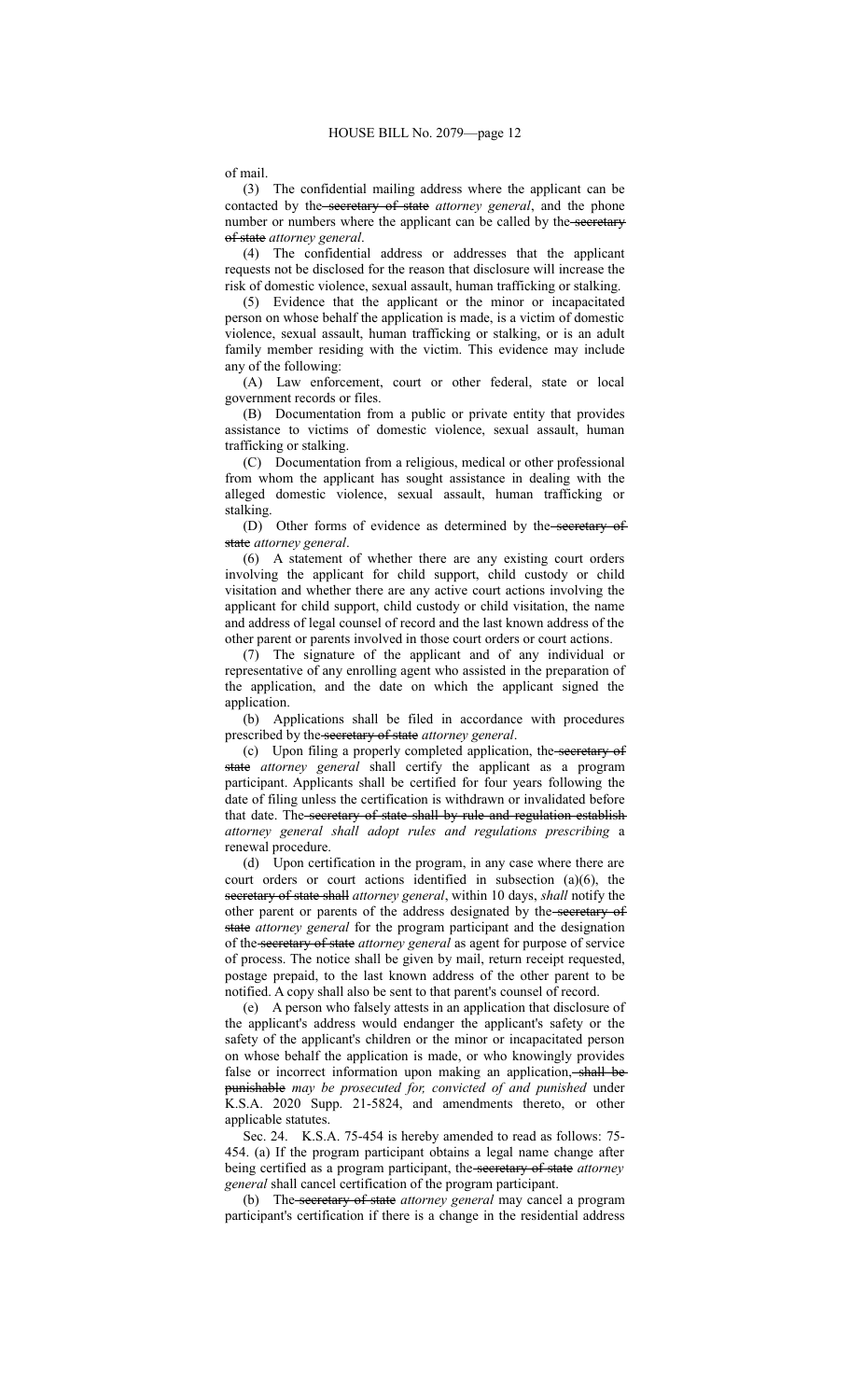of mail.

(3) The confidential mailing address where the applicant can be contacted by the secretary of state *attorney general*, and the phone number or numbers where the applicant can be called by the-secretary of state *attorney general*.

(4) The confidential address or addresses that the applicant requests not be disclosed for the reason that disclosure will increase the risk of domestic violence, sexual assault, human trafficking or stalking.

(5) Evidence that the applicant or the minor or incapacitated person on whose behalf the application is made, is a victim of domestic violence, sexual assault, human trafficking or stalking, or is an adult family member residing with the victim. This evidence may include any of the following:

(A) Law enforcement, court or other federal, state or local government records or files.

(B) Documentation from a public or private entity that provides assistance to victims of domestic violence, sexual assault, human trafficking or stalking.

(C) Documentation from a religious, medical or other professional from whom the applicant has sought assistance in dealing with the alleged domestic violence, sexual assault, human trafficking or stalking.

(D) Other forms of evidence as determined by the-secretary of state *attorney general*.

(6) A statement of whether there are any existing court orders involving the applicant for child support, child custody or child visitation and whether there are any active court actions involving the applicant for child support, child custody or child visitation, the name and address of legal counsel of record and the last known address of the other parent or parents involved in those court orders or court actions.

(7) The signature of the applicant and of any individual or representative of any enrolling agent who assisted in the preparation of the application, and the date on which the applicant signed the application.

(b) Applications shall be filed in accordance with procedures prescribed by the secretary of state *attorney general*.

(c) Upon filing a properly completed application, the secretary of state *attorney general* shall certify the applicant as a program participant. Applicants shall be certified for four years following the date of filing unless the certification is withdrawn or invalidated before that date. The secretary of state shall by rule and regulation establish *attorney general shall adopt rules and regulations prescribing* a renewal procedure.

(d) Upon certification in the program, in any case where there are court orders or court actions identified in subsection (a)(6), the secretary of state shall *attorney general*, within 10 days, *shall* notify the other parent or parents of the address designated by the secretary of state *attorney general* for the program participant and the designation of the secretary of state *attorney general* as agent for purpose of service of process. The notice shall be given by mail, return receipt requested, postage prepaid, to the last known address of the other parent to be notified. A copy shall also be sent to that parent's counsel of record.

(e) A person who falsely attests in an application that disclosure of the applicant's address would endanger the applicant's safety or the safety of the applicant's children or the minor or incapacitated person on whose behalf the application is made, or who knowingly provides false or incorrect information upon making an application, shall be punishable *may be prosecuted for, convicted of and punished* under K.S.A. 2020 Supp. 21-5824, and amendments thereto, or other applicable statutes.

Sec. 24. K.S.A. 75-454 is hereby amended to read as follows: 75- 454. (a) If the program participant obtains a legal name change after being certified as a program participant, the secretary of state *attorney general* shall cancel certification of the program participant.

(b) The secretary of state *attorney general* may cancel a program participant's certification if there is a change in the residential address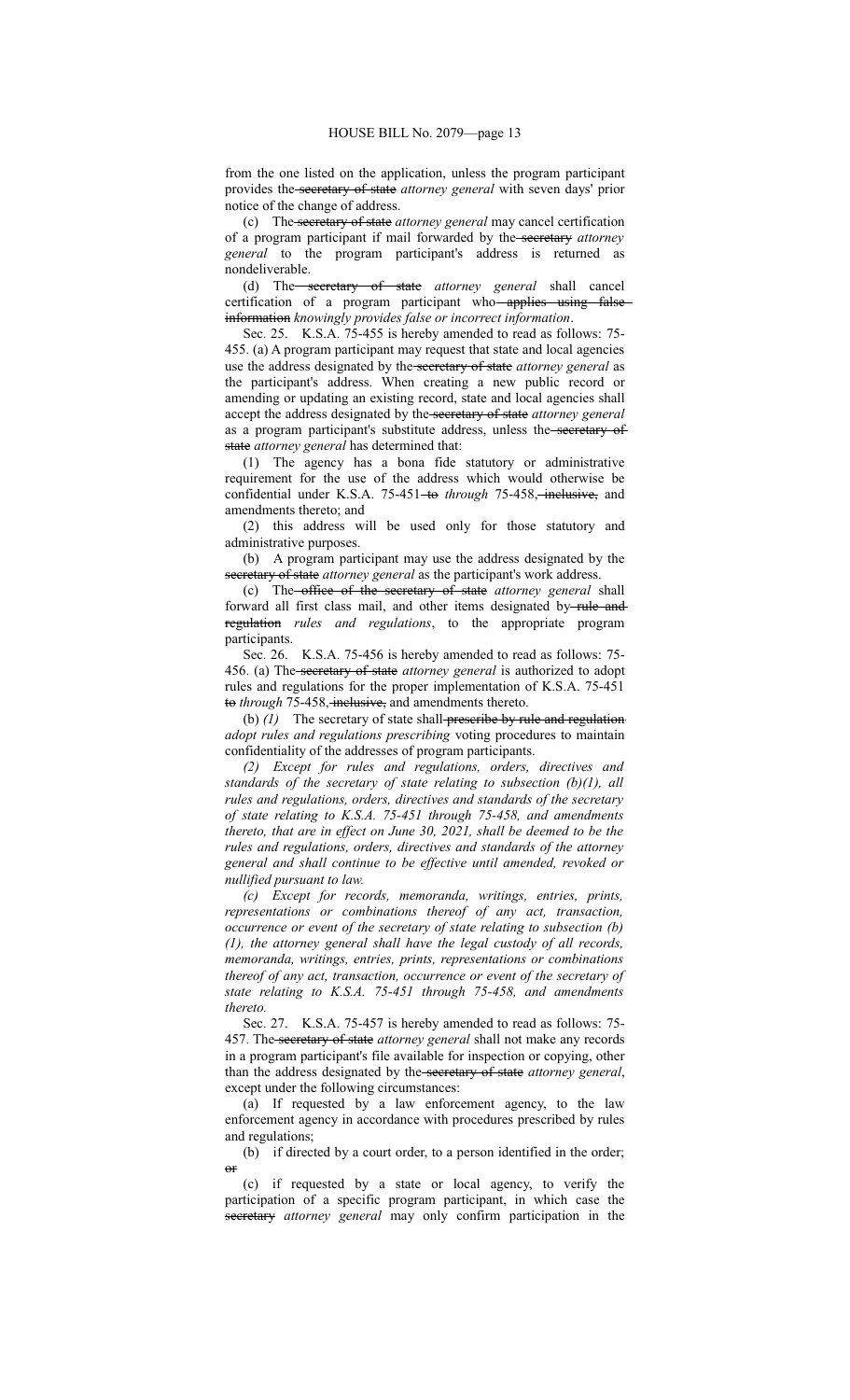from the one listed on the application, unless the program participant provides the secretary of state *attorney general* with seven days' prior notice of the change of address.

(c) The secretary of state *attorney general* may cancel certification of a program participant if mail forwarded by the secretary *attorney general* to the program participant's address is returned as nondeliverable.

(d) The secretary of state *attorney general* shall cancel certification of a program participant who-applies using information *knowingly provides false or incorrect information*.

Sec. 25. K.S.A. 75-455 is hereby amended to read as follows: 75- 455. (a) A program participant may request that state and local agencies use the address designated by the secretary of state *attorney general* as the participant's address. When creating a new public record or amending or updating an existing record, state and local agencies shall accept the address designated by the secretary of state *attorney general* as a program participant's substitute address, unless the secretary of state *attorney general* has determined that:

(1) The agency has a bona fide statutory or administrative requirement for the use of the address which would otherwise be confidential under K.S.A. 75-451-to through 75-458, inclusive, and amendments thereto; and

(2) this address will be used only for those statutory and administrative purposes.

(b) A program participant may use the address designated by the secretary of state *attorney general* as the participant's work address.

(c) The office of the secretary of state *attorney general* shall forward all first class mail, and other items designated by-rule and regulation *rules and regulations*, to the appropriate program participants.

Sec. 26. K.S.A. 75-456 is hereby amended to read as follows: 75- 456. (a) The secretary of state *attorney general* is authorized to adopt rules and regulations for the proper implementation of K.S.A. 75-451 to *through* 75-458, inclusive, and amendments thereto.

(b) (1) The secretary of state shall-preseribe by rule and regulation *adopt rules and regulations prescribing* voting procedures to maintain confidentiality of the addresses of program participants.

*(2) Except for rules and regulations, orders, directives and standards of the secretary of state relating to subsection (b)(1), all rules and regulations, orders, directives and standards of the secretary of state relating to K.S.A. 75-451 through 75-458, and amendments thereto, that are in effect on June 30, 2021, shall be deemed to be the rules and regulations, orders, directives and standards of the attorney general and shall continue to be effective until amended, revoked or nullified pursuant to law.*

*(c) Except for records, memoranda, writings, entries, prints, representations or combinations thereof of any act, transaction, occurrence or event of the secretary of state relating to subsection (b) (1), the attorney general shall have the legal custody of all records, memoranda, writings, entries, prints, representations or combinations thereof of any act, transaction, occurrence or event of the secretary of state relating to K.S.A. 75-451 through 75-458, and amendments thereto.*

Sec. 27. K.S.A. 75-457 is hereby amended to read as follows: 75- 457. The secretary of state *attorney general* shall not make any records in a program participant's file available for inspection or copying, other than the address designated by the secretary of state *attorney general*, except under the following circumstances:

(a) If requested by a law enforcement agency, to the law enforcement agency in accordance with procedures prescribed by rules and regulations;

(b) if directed by a court order, to a person identified in the order;  $\theta$ <sup>r</sup>

(c) if requested by a state or local agency, to verify the participation of a specific program participant, in which case the secretary *attorney general* may only confirm participation in the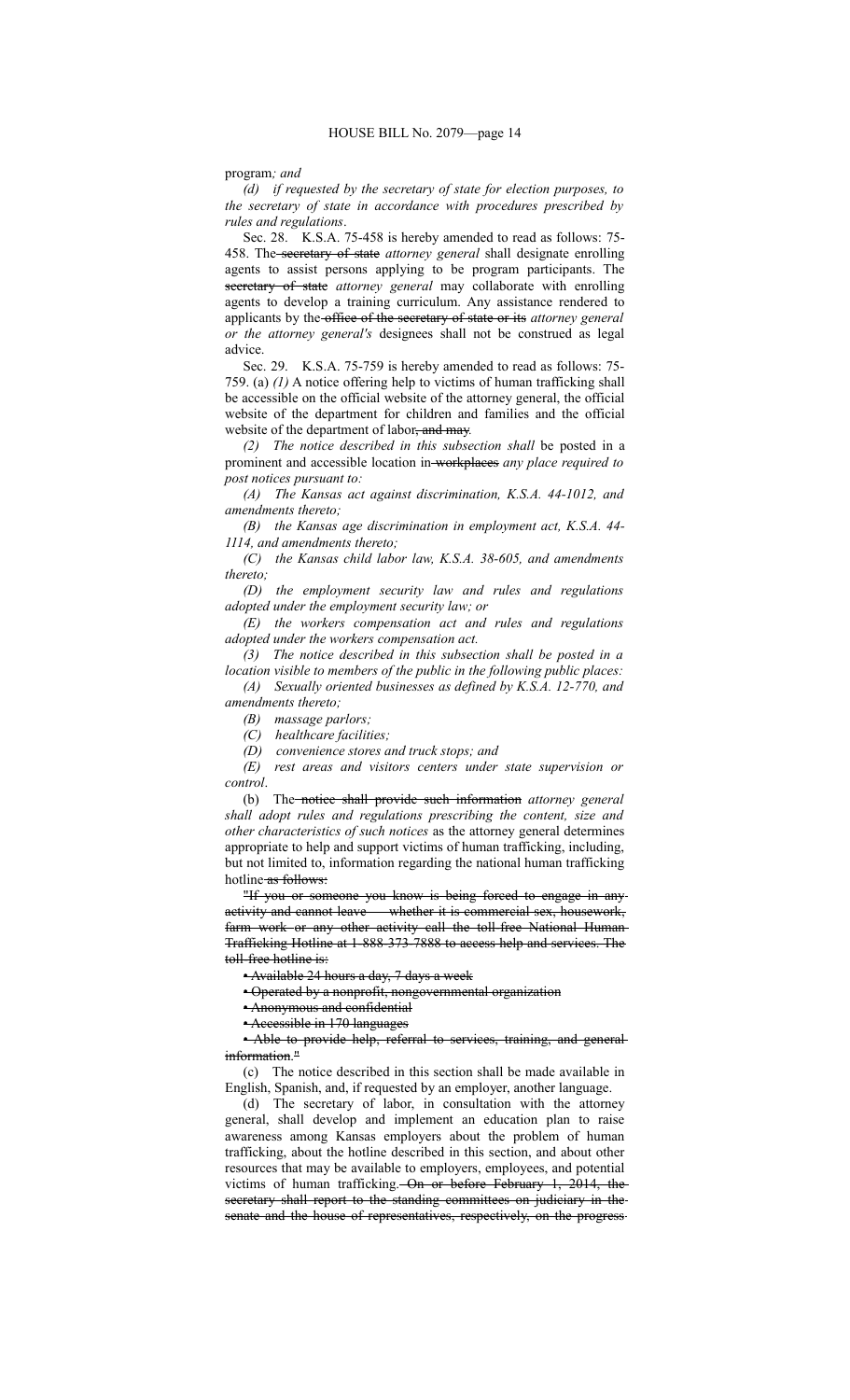#### program*; and*

*(d) if requested by the secretary of state for election purposes, to the secretary of state in accordance with procedures prescribed by rules and regulations*.

Sec. 28. K.S.A. 75-458 is hereby amended to read as follows: 75- 458. The secretary of state *attorney general* shall designate enrolling agents to assist persons applying to be program participants. The secretary of state *attorney general* may collaborate with enrolling agents to develop a training curriculum. Any assistance rendered to applicants by the office of the secretary of state or its *attorney general or the attorney general's* designees shall not be construed as legal advice.

Sec. 29. K.S.A. 75-759 is hereby amended to read as follows: 75- 759. (a) *(1)* A notice offering help to victims of human trafficking shall be accessible on the official website of the attorney general, the official website of the department for children and families and the official website of the department of labor, and may*.*

*(2) The notice described in this subsection shall* be posted in a prominent and accessible location in workplaces *any place required to post notices pursuant to:*

*(A) The Kansas act against discrimination, K.S.A. 44-1012, and amendments thereto;*

*(B) the Kansas age discrimination in employment act, K.S.A. 44- 1114, and amendments thereto;*

*(C) the Kansas child labor law, K.S.A. 38-605, and amendments thereto;*

*(D) the employment security law and rules and regulations adopted under the employment security law; or*

*(E) the workers compensation act and rules and regulations adopted under the workers compensation act.*

*(3) The notice described in this subsection shall be posted in a location visible to members of the public in the following public places:*

*(A) Sexually oriented businesses as defined by K.S.A. 12-770, and amendments thereto;*

*(B) massage parlors;*

*(C) healthcare facilities;*

*(D) convenience stores and truck stops; and*

*(E) rest areas and visitors centers under state supervision or control*.

(b) The notice shall provide such information *attorney general shall adopt rules and regulations prescribing the content, size and other characteristics of such notices* as the attorney general determines appropriate to help and support victims of human trafficking, including, but not limited to, information regarding the national human trafficking hotline as follows:

"If you or someone you know is being forced to engage in any activity and cannot leave — whether it is commercial sex, housework, farm work or any other activity call the toll-free National Human-Trafficking Hotline at 1-888-373-7888 to access help and services. The toll-free hotline is:

• Available 24 hours a day, 7 days a week

• Operated by a nonprofit, nongovernmental organization

• Anonymous and confidential

• Accessible in 170 languages

• Able to provide help, referral to services, training, and generalinformation."

(c) The notice described in this section shall be made available in English, Spanish, and, if requested by an employer, another language.

(d) The secretary of labor, in consultation with the attorney general, shall develop and implement an education plan to raise awareness among Kansas employers about the problem of human trafficking, about the hotline described in this section, and about other resources that may be available to employers, employees, and potential victims of human trafficking. On or before February 1, 2014, the secretary shall report to the standing committees on judiciary in the senate and the house of representatives, respectively, on the progress-